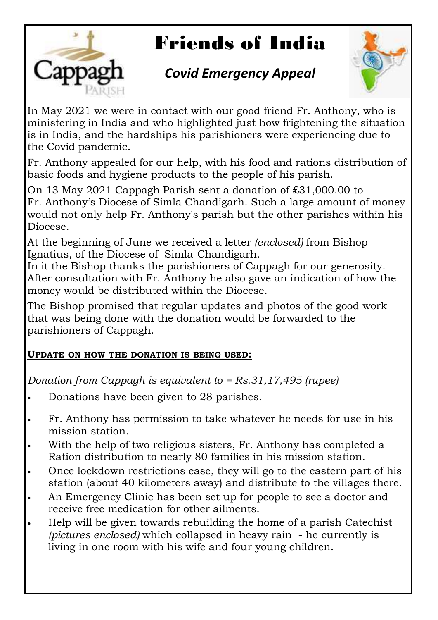## Friends of India



## *Covid Emergency Appeal*



In May 2021 we were in contact with our good friend Fr. Anthony, who is ministering in India and who highlighted just how frightening the situation is in India, and the hardships his parishioners were experiencing due to the Covid pandemic.

Fr. Anthony appealed for our help, with his food and rations distribution of basic foods and hygiene products to the people of his parish.

On 13 May 2021 Cappagh Parish sent a donation of £31,000.00 to Fr. Anthony's Diocese of Simla Chandigarh. Such a large amount of money would not only help Fr. Anthony's parish but the other parishes within his Diocese.

At the beginning of June we received a letter *(enclosed)* from Bishop Ignatius, of the Diocese of Simla-Chandigarh.

In it the Bishop thanks the parishioners of Cappagh for our generosity. After consultation with Fr. Anthony he also gave an indication of how the money would be distributed within the Diocese.

The Bishop promised that regular updates and photos of the good work that was being done with the donation would be forwarded to the parishioners of Cappagh.

### **UPDATE ON HOW THE DONATION IS BEING USED:**

*Donation from Cappagh is equivalent to = Rs.31,17,495 (rupee)* 

- Donations have been given to 28 parishes.
- Fr. Anthony has permission to take whatever he needs for use in his mission station.
- With the help of two religious sisters, Fr. Anthony has completed a Ration distribution to nearly 80 families in his mission station.
- Once lockdown restrictions ease, they will go to the eastern part of his station (about 40 kilometers away) and distribute to the villages there.
- An Emergency Clinic has been set up for people to see a doctor and receive free medication for other ailments.
- Help will be given towards rebuilding the home of a parish Catechist *(pictures enclosed)* which collapsed in heavy rain - he currently is living in one room with his wife and four young children.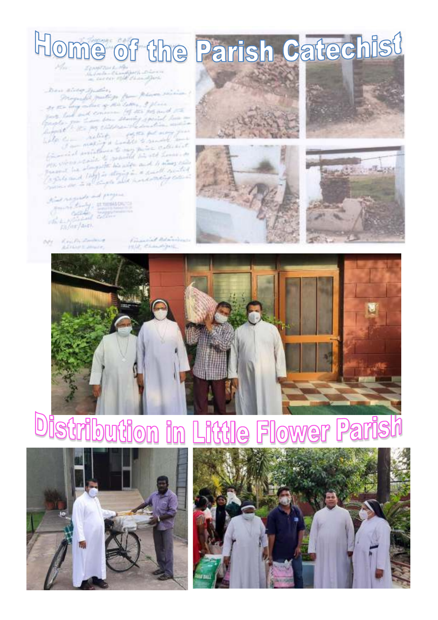# Home of the Parish Catechist

alice Judie, magachie puting from the ing called by this latter. an fort data that and the apparent June - Sam Starting File as ellocation which ports Londole to sending making it GE Ballister arrivationer to may the to republic the old her the his wife and is alway and To lo and 100 is the first a public rested

Burnting Com de and grazine  $10/25/2151$ 

over houtman A EVENINE JA

in La Pical











#### Distribution in 几股 **alle** l =l  $\mathbf{P}$  $\overline{0}$



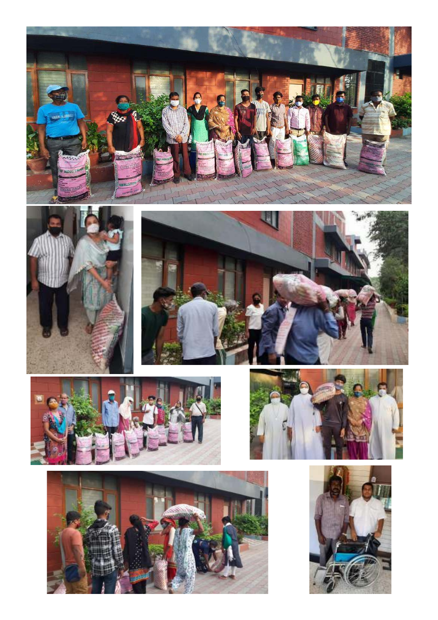











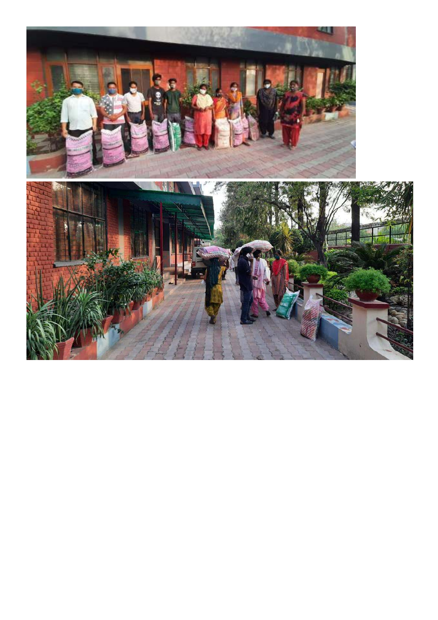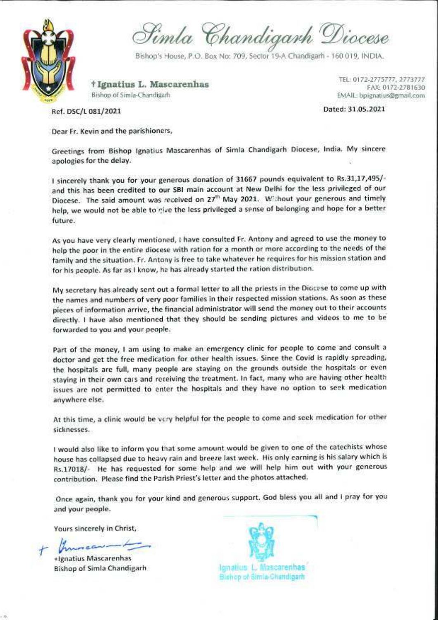

Simla Chandiganh Diocese

Bishop's House, P.O. Box No: 709, Sector 19-A Chandigarh - 160 019, INDIA.

† Ignatius L. Mascarenhas Bishop of Simla-Chandigarh

Ref. DSC/L 081/2021

TEL: 0172-2775777, 2773777 FAX: 0172-2781630 EMAIL: boignatius@gmail.com

Dated: 31.05.2021

Dear Fr. Kevin and the parishioners,

Greetings from Bishop Ignatius Mascarenhas of Simla Chandigarh Diocese, India. My sincere apologies for the delay.

I sincerely thank you for your generous donation of 31667 pounds equivalent to Rs.31,17,495/and this has been credited to our SBI main account at New Delhi for the less privileged of our Diocese. The said amount was received on 27<sup>th</sup> May 2021. Whout your generous and timely help, we would not be able to give the less privileged a sense of belonging and hope for a better future.

As you have very clearly mentioned, I have consulted Fr. Antony and agreed to use the money to help the poor in the entire diocese with ration for a month or more according to the needs of the family and the situation. Fr. Antony is free to take whatever he requires for his mission station and for his people. As far as I know, he has already started the ration distribution.

My secretary has already sent out a formal letter to all the priests in the Diocese to come up with the names and numbers of very poor families in their respected mission stations. As soon as these pieces of information arrive, the financial administrator will send the money out to their accounts directly. I have also mentioned that they should be sending pictures and videos to me to be forwarded to you and your people.

Part of the money, I am using to make an emergency clinic for people to come and consult a doctor and get the free medication for other health issues. Since the Covid is rapidly spreading, the hospitals are full, many people are staying on the grounds outside the hospitals or even staying in their own cars and receiving the treatment. In fact, many who are having other health issues are not permitted to enter the hospitals and they have no option to seek medication anywhere else.

At this time, a clinic would be very helpful for the people to come and seek medication for other sicknesses.

I would also like to inform you that some amount would be given to one of the catechists whose house has collapsed due to heavy rain and breeze last week. His only earning is his salary which is Rs.17018/- He has requested for some help and we will help him out with your generous contribution. Please find the Parish Priest's letter and the photos attached.

Once again, thank you for your kind and generous support. God bless you all and I pray for you and your people.

Yours sincerely in Christ,

+Ignatius Mascarenhas **Bishop of Simla Chandigarh** 

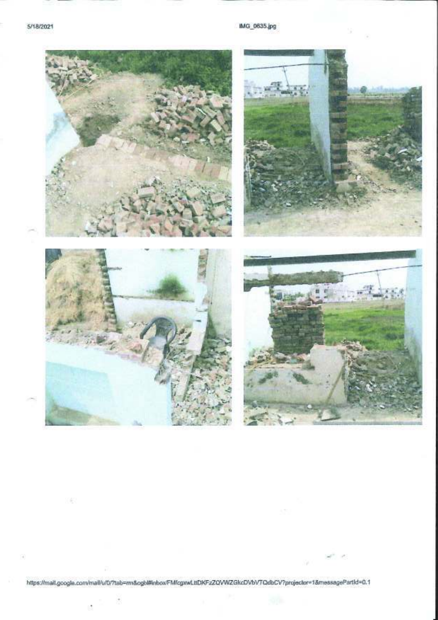光彩

IMG\_0635.jpg



https://mail.google.com/mail/u/D/7tab=m&ogbl#inbox/FMfcgxwLtDKFzZQVWZGkcDVbVTQdbCV7projector=1&messagePsrtId=0.1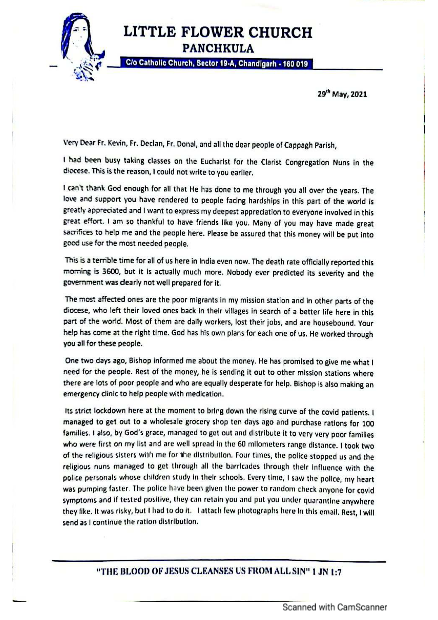LITTLE FLOWER CHURCH **PANCHKULA** 

C/o Catholic Church, Sector 19-A, Chandigarh - 160 019

29th May, 2021

Very Dear Fr. Kevin, Fr. Declan, Fr. Donal, and all the dear people of Cappagh Parish,

I had been busy taking classes on the Eucharist for the Clarist Congregation Nuns in the diocese. This is the reason, I could not write to you earlier.

I can't thank God enough for all that He has done to me through you all over the years. The love and support you have rendered to people facing hardships in this part of the world is greatly appreciated and I want to express my deepest appreciation to everyone involved in this great effort. I am so thankful to have friends like you. Many of you may have made great sacrifices to help me and the people here. Please be assured that this money will be put into good use for the most needed people.

This is a terrible time for all of us here in India even now. The death rate officially reported this morning is 3600, but it is actually much more. Nobody ever predicted its severity and the government was dearly not well prepared for it.

The most affected ones are the poor migrants in my mission station and in other parts of the diocese, who left their loved ones back in their villages in search of a better life here in this part of the world. Most of them are daily workers, lost their jobs, and are housebound. Your help has come at the right time. God has his own plans for each one of us. He worked through you all for these people.

One two days ago, Bishop informed me about the money. He has promised to give me what I need for the people. Rest of the money, he is sending it out to other mission stations where there are lots of poor people and who are equally desperate for help. Bishop is also making an emergency clinic to help people with medication.

Its strict lockdown here at the moment to bring down the rising curve of the covid patients. I managed to get out to a wholesale grocery shop ten days ago and purchase rations for 100 families. I also, by God's grace, managed to get out and distribute it to very very poor families who were first on my list and are well spread in the 60 milometers range distance. I took two of the religious sisters with me for the distribution. Four times, the police stopped us and the religious nuns managed to get through all the barricades through their influence with the police personals whose children study in their schools. Every time, I saw the police, my heart was pumping faster. The police have been given the power to random check anyone for covid symptoms and if tested positive, they can retain you and put you under quarantine anywhere they like. It was risky, but I had to do it. I attach few photographs here in this email. Rest, I will send as I continue the ration distribution.

### "THE BLOOD OF JESUS CLEANSES US FROM ALL SIN" 1 JN 1:7